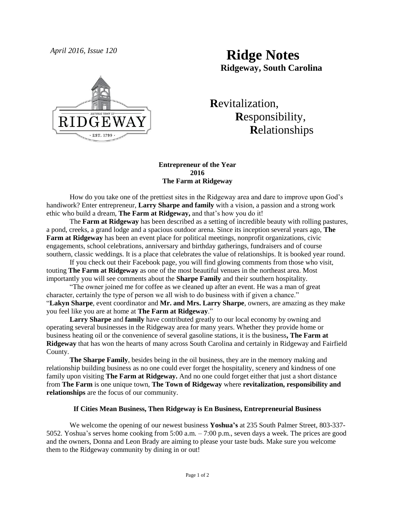



# **R**evitalization,  **R**esponsibility,  **R**elationships

# **Entrepreneur of the Year 2016 The Farm at Ridgeway**

How do you take one of the prettiest sites in the Ridgeway area and dare to improve upon God's handiwork? Enter entrepreneur, **Larry Sharpe and family** with a vision, a passion and a strong work ethic who build a dream, **The Farm at Ridgeway,** and that's how you do it!

The **Farm at Ridgeway** has been described as a setting of incredible beauty with rolling pastures, a pond, creeks, a grand lodge and a spacious outdoor arena. Since its inception several years ago, **The Farm at Ridgeway** has been an event place for political meetings, nonprofit organizations, civic engagements, school celebrations, anniversary and birthday gatherings, fundraisers and of course southern, classic weddings. It is a place that celebrates the value of relationships. It is booked year round.

If you check out their Facebook page, you will find glowing comments from those who visit, touting **The Farm at Ridgeway** as one of the most beautiful venues in the northeast area. Most importantly you will see comments about the **Sharpe Family** and their southern hospitality.

"The owner joined me for coffee as we cleaned up after an event. He was a man of great character, certainly the type of person we all wish to do business with if given a chance." "**Lakyn Sharpe**, event coordinator and **Mr. and Mrs. Larry Sharpe**, owners, are amazing as they make you feel like you are at home at **The Farm at Ridgeway**."

**Larry Sharpe** and **family** have contributed greatly to our local economy by owning and operating several businesses in the Ridgeway area for many years. Whether they provide home or business heating oil or the convenience of several gasoline stations, it is the business**, The Farm at Ridgeway** that has won the hearts of many across South Carolina and certainly in Ridgeway and Fairfield County.

**The Sharpe Family**, besides being in the oil business, they are in the memory making and relationship building business as no one could ever forget the hospitality, scenery and kindness of one family upon visiting **The Farm at Ridgeway.** And no one could forget either that just a short distance from **The Farm** is one unique town, **The Town of Ridgeway** where **revitalization, responsibility and relationships** are the focus of our community.

# **If Cities Mean Business, Then Ridgeway is En Business, Entrepreneurial Business**

We welcome the opening of our newest business **Yoshua's** at 235 South Palmer Street, 803-337- 5052. Yoshua's serves home cooking from 5:00 a.m. – 7:00 p.m., seven days a week. The prices are good and the owners, Donna and Leon Brady are aiming to please your taste buds. Make sure you welcome them to the Ridgeway community by dining in or out!